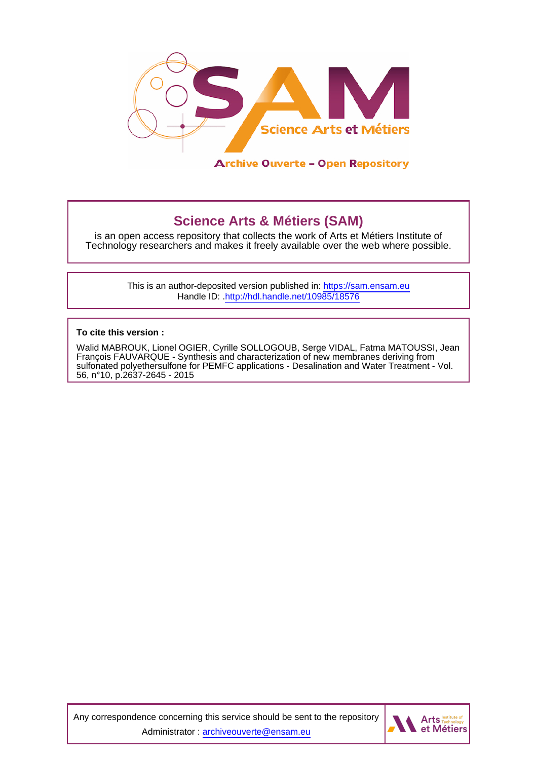

# **Science Arts & Métiers (SAM)**

is an open access repository that collects the work of Arts et Métiers Institute of Technology researchers and makes it freely available over the web where possible.

> This is an author-deposited version published in:<https://sam.ensam.eu> Handle ID: [.http://hdl.handle.net/10985/18576](http://hdl.handle.net/10985/18576)

**To cite this version :**

Walid MABROUK, Lionel OGIER, Cyrille SOLLOGOUB, Serge VIDAL, Fatma MATOUSSI, Jean François FAUVARQUE - Synthesis and characterization of new membranes deriving from sulfonated polyethersulfone for PEMFC applications - Desalination and Water Treatment - Vol. 56, n°10, p.2637-2645 - 2015

Any correspondence concerning this service should be sent to the repository Administrator : [archiveouverte@ensam.eu](mailto:archiveouverte@ensam.eu)

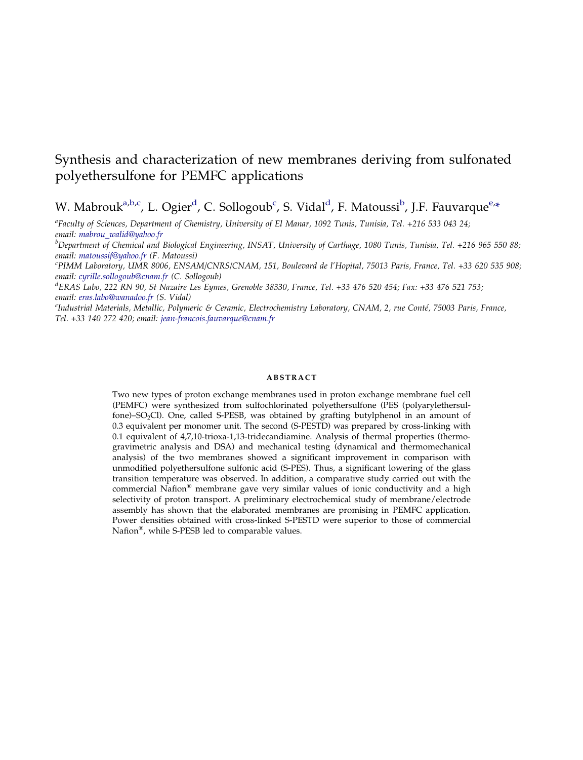## Synthesis and characterization of new membranes deriving from sulfonated polyethersulfone for PEMFC applications

## W. Mabrouk<sup>a,b,c</sup>, L. Ogier<sup>d</sup>, C. Sollogoub<sup>c</sup>, S. Vidal<sup>d</sup>, F. Matoussi<sup>b</sup>, J.F. Fauvarque<sup>e,\*</sup>

a Faculty of Sciences, Department of Chemistry, University of El Manar, 1092 Tunis, Tunisia, Tel. +216 533 043 24;

email: [mabrou\\_walid@yahoo.fr](mailto:mabrou_walid@yahoo.fr)<br><sup>b</sup>Department of Chemical and Biological Engineering, INSAT, University of Carthage, 1080 Tunis, Tunisia, Tel. +216 965 550 88; email: [matoussif@yahoo.fr](mailto:matoussif@yahoo.fr) (F. Matoussi)

PIMM Laboratory, UMR 8006, ENSAM/CNRS/CNAM, 151, Boulevard de l'Hopital, 75013 Paris, France, Tel. +33 620 535 908; email: [cyrille.sollogoub@cnam.fr](mailto:cyrille.sollogoub@cnam.fr) (C. Sollogoub)

d ERAS Labo, 222 RN 90, St Nazaire Les Eymes, Grenoble 38330, France, Tel. +33 476 520 454; Fax: +33 476 521 753; email: [eras.labo@wanadoo.fr](mailto:eras.labo@wanadoo.fr) (S. Vidal)

<sup>e</sup>Industrial Materials, Metallic, Polymeric & Ceramic, Electrochemistry Laboratory, CNAM, 2, rue Conté, 75003 Paris, France, Tel. +33 140 272 420; email: [jean-francois.fauvarque@cnam.fr](mailto:jean-francois.fauvarque@cnam.fr)

#### ABSTRACT

Two new types of proton exchange membranes used in proton exchange membrane fuel cell (PEMFC) were synthesized from sulfochlorinated polyethersulfone (PES (polyarylethersulfone)–SO2Cl). One, called S-PESB, was obtained by grafting butylphenol in an amount of 0.3 equivalent per monomer unit. The second (S-PESTD) was prepared by cross-linking with 0.1 equivalent of 4,7,10-trioxa-1,13-tridecandiamine. Analysis of thermal properties (thermogravimetric analysis and DSA) and mechanical testing (dynamical and thermomechanical analysis) of the two membranes showed a significant improvement in comparison with unmodified polyethersulfone sulfonic acid (S-PES). Thus, a significant lowering of the glass transition temperature was observed. In addition, a comparative study carried out with the commercial Nafion<sup>®</sup> membrane gave very similar values of ionic conductivity and a high selectivity of proton transport. A preliminary electrochemical study of membrane/electrode assembly has shown that the elaborated membranes are promising in PEMFC application. Power densities obtained with cross-linked S-PESTD were superior to those of commercial Nafion<sup>®</sup>, while S-PESB led to comparable values.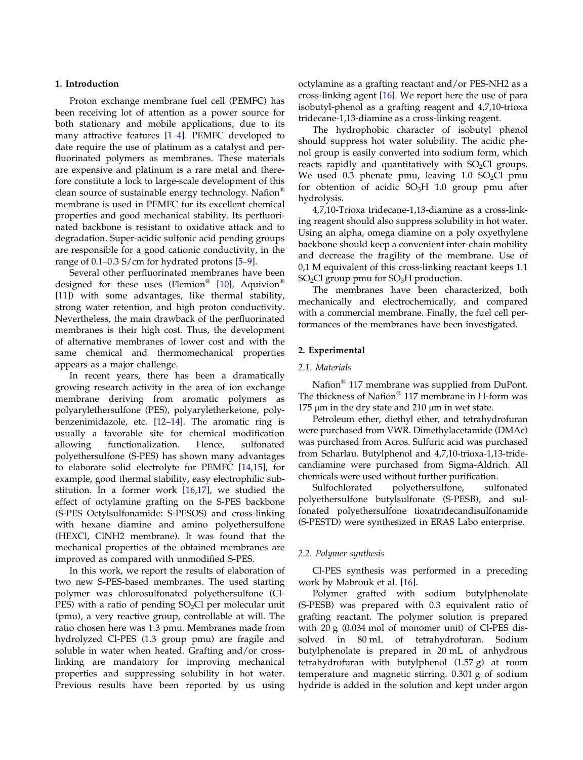#### 1. Introduction

Proton exchange membrane fuel cell (PEMFC) has been receiving lot of attention as a power source for both stationary and mobile applications, due to its many attractive features [\[1–4\]](#page-8-0). PEMFC developed to date require the use of platinum as a catalyst and perfluorinated polymers as membranes. These materials are expensive and platinum is a rare metal and therefore constitute a lock to large-scale development of this clean source of sustainable energy technology. Nafion® membrane is used in PEMFC for its excellent chemical properties and good mechanical stability. Its perfluorinated backbone is resistant to oxidative attack and to degradation. Super-acidic sulfonic acid pending groups are responsible for a good cationic conductivity, in the range of 0.1–0.3 S/cm for hydrated protons [\[5–9\]](#page-8-0).

Several other perfluorinated membranes have been designed for these uses (Flemion® [[10](#page-8-0)], Aquivion® [[11\]](#page-8-0)) with some advantages, like thermal stability, strong water retention, and high proton conductivity. Nevertheless, the main drawback of the perfluorinated membranes is their high cost. Thus, the development of alternative membranes of lower cost and with the same chemical and thermomechanical properties appears as a major challenge.

In recent years, there has been a dramatically growing research activity in the area of ion exchange membrane deriving from aromatic polymers as polyarylethersulfone (PES), polyaryletherketone, polybenzenimidazole, etc. [[12–14](#page-8-0)]. The aromatic ring is usually a favorable site for chemical modification allowing functionalization. Hence, sulfonated polyethersulfone (S-PES) has shown many advantages to elaborate solid electrolyte for PEMFC [[14,15](#page-8-0)], for example, good thermal stability, easy electrophilic substitution. In a former work [\[16,17](#page-9-0)], we studied the effect of octylamine grafting on the S-PES backbone (S-PES Octylsulfonamide: S-PESOS) and cross-linking with hexane diamine and amino polyethersulfone (HEXCl, ClNH2 membrane). It was found that the mechanical properties of the obtained membranes are improved as compared with unmodified S-PES.

In this work, we report the results of elaboration of two new S-PES-based membranes. The used starting polymer was chlorosulfonated polyethersulfone (Cl- $PES$ ) with a ratio of pending  $SO<sub>2</sub>Cl$  per molecular unit (pmu), a very reactive group, controllable at will. The ratio chosen here was 1.3 pmu. Membranes made from hydrolyzed Cl-PES (1.3 group pmu) are fragile and soluble in water when heated. Grafting and/or crosslinking are mandatory for improving mechanical properties and suppressing solubility in hot water. Previous results have been reported by us using octylamine as a grafting reactant and/or PES-NH2 as a cross-linking agent [\[16\]](#page-9-0). We report here the use of para isobutyl-phenol as a grafting reagent and 4,7,10-trioxa tridecane-1,13-diamine as a cross-linking reagent.

The hydrophobic character of isobutyl phenol should suppress hot water solubility. The acidic phenol group is easily converted into sodium form, which reacts rapidly and quantitatively with  $SO<sub>2</sub>Cl$  groups. We used 0.3 phenate pmu, leaving  $1.0$  SO<sub>2</sub>Cl pmu for obtention of acidic  $SO<sub>3</sub>H$  1.0 group pmu after hydrolysis.

4,7,10-Trioxa tridecane-1,13-diamine as a cross-linking reagent should also suppress solubility in hot water. Using an alpha, omega diamine on a poly oxyethylene backbone should keep a convenient inter-chain mobility and decrease the fragility of the membrane. Use of 0,1 M equivalent of this cross-linking reactant keeps 1.1  $SO<sub>2</sub>Cl$  group pmu for  $SO<sub>3</sub>H$  production.

The membranes have been characterized, both mechanically and electrochemically, and compared with a commercial membrane. Finally, the fuel cell performances of the membranes have been investigated.

### 2. Experimental

#### 2.1. Materials

Nafion® 117 membrane was supplied from DuPont. The thickness of Nafion® 117 membrane in H-form was 175 μm in the dry state and 210 μm in wet state.

Petroleum ether, diethyl ether, and tetrahydrofuran were purchased from VWR. Dimethylacetamide (DMAc) was purchased from Acros. Sulfuric acid was purchased from Scharlau. Butylphenol and 4,7,10-trioxa-1,13-tridecandiamine were purchased from Sigma-Aldrich. All chemicals were used without further purification.

Sulfochlorated polyethersulfone, sulfonated polyethersulfone butylsulfonate (S-PESB), and sulfonated polyethersulfone tioxatridecandisulfonamide (S-PESTD) were synthesized in ERAS Labo enterprise.

#### 2.2. Polymer synthesis

Cl-PES synthesis was performed in a preceding work by Mabrouk et al. [[16](#page-9-0)].

Polymer grafted with sodium butylphenolate (S-PESB) was prepared with 0.3 equivalent ratio of grafting reactant. The polymer solution is prepared with 20 g (0.034 mol of monomer unit) of Cl-PES dissolved in 80 mL of tetrahydrofuran. Sodium butylphenolate is prepared in 20 mL of anhydrous tetrahydrofuran with butylphenol (1.57 g) at room temperature and magnetic stirring. 0.301 g of sodium hydride is added in the solution and kept under argon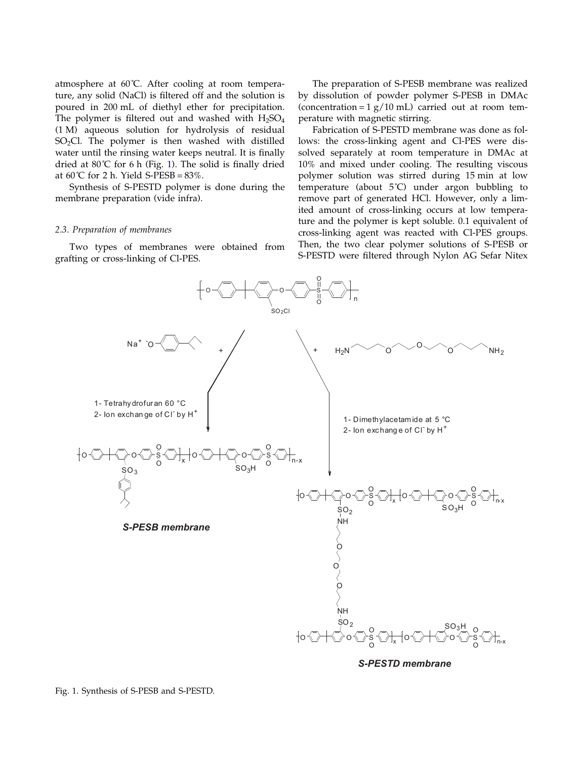atmosphere at 60˚C. After cooling at room temperature, any solid (NaCl) is filtered off and the solution is poured in 200 mL of diethyl ether for precipitation. The polymer is filtered out and washed with  $H_2SO_4$ (1 M) aqueous solution for hydrolysis of residual SO<sub>2</sub>Cl. The polymer is then washed with distilled water until the rinsing water keeps neutral. It is finally dried at  $80^{\circ}$ C for 6 h (Fig. 1). The solid is finally dried at  $60^{\circ}$ C for 2 h. Yield S-PESB =  $83\%$ .

Synthesis of S-PESTD polymer is done during the membrane preparation (vide infra).

#### 2.3. Preparation of membranes

Two types of membranes were obtained from grafting or cross-linking of Cl-PES.

The preparation of S-PESB membrane was realized by dissolution of powder polymer S-PESB in DMAc (concentration =  $1 g/10$  mL) carried out at room temperature with magnetic stirring.

Fabrication of S-PESTD membrane was done as follows: the cross-linking agent and Cl-PES were dissolved separately at room temperature in DMAc at 10% and mixed under cooling. The resulting viscous polymer solution was stirred during 15 min at low temperature (about 5˚C) under argon bubbling to remove part of generated HCl. However, only a limited amount of cross-linking occurs at low temperature and the polymer is kept soluble. 0.1 equivalent of cross-linking agent was reacted with Cl-PES groups. Then, the two clear polymer solutions of S-PESB or S-PESTD were filtered through Nylon AG Sefar Nitex



Fig. 1. Synthesis of S-PESB and S-PESTD.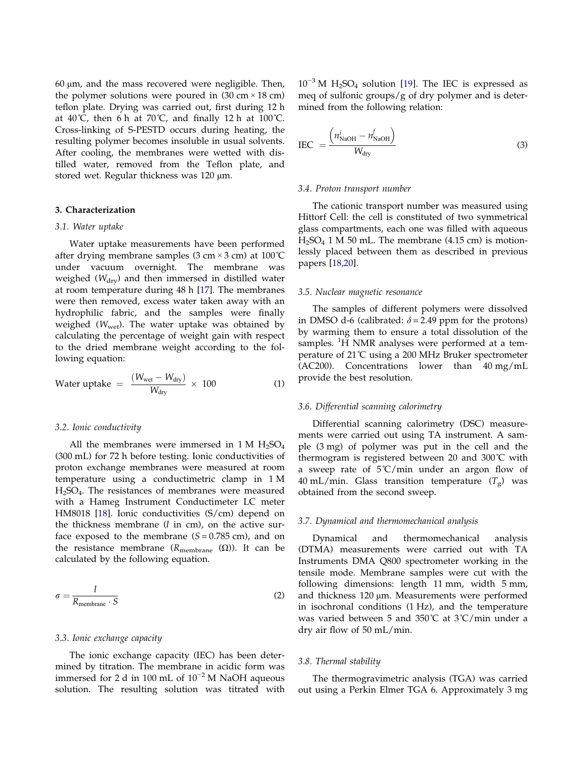60 μm, and the mass recovered were negligible. Then, the polymer solutions were poured in  $(30 \text{ cm} \times 18 \text{ cm})$ teflon plate. Drying was carried out, first during 12 h at  $40^{\circ}$ C, then 6 h at  $70^{\circ}$ C, and finally 12 h at  $100^{\circ}$ C. Cross-linking of S-PESTD occurs during heating, the resulting polymer becomes insoluble in usual solvents. After cooling, the membranes were wetted with distilled water, removed from the Teflon plate, and stored wet. Regular thickness was 120 μm.

## 3. Characterization

#### 3.1. Water uptake

Water uptake measurements have been performed after drying membrane samples  $(3 \text{ cm} \times 3 \text{ cm})$  at  $100^{\circ}$ C under vacuum overnight. The membrane was weighed ( $W_{\text{dry}}$ ) and then immersed in distilled water at room temperature during 48 h [\[17\]](#page-9-0). The membranes were then removed, excess water taken away with an hydrophilic fabric, and the samples were finally weighed  $(W<sub>wet</sub>)$ . The water uptake was obtained by calculating the percentage of weight gain with respect to the dried membrane weight according to the following equation:

Water uptake = 
$$
\frac{(W_{\text{wet}} - W_{\text{dry}})}{W_{\text{dry}}}
$$
 × 100 (1)

#### 3.2. Ionic conductivity

All the membranes were immersed in 1 M  $H_2SO_4$ (300 mL) for 72 h before testing. Ionic conductivities of proton exchange membranes were measured at room temperature using a conductimetric clamp in 1 M H2SO4. The resistances of membranes were measured with a Hameg Instrument Conductimeter LC meter HM8018 [[18](#page-9-0)]. Ionic conductivities (S/cm) depend on the thickness membrane  $(l \text{ in cm})$ , on the active surface exposed to the membrane  $(S = 0.785$  cm), and on the resistance membrane ( $R$ <sub>membrane</sub> (Ω)). It can be calculated by the following equation.

$$
\sigma = \frac{l}{R_{\text{membrane}} \cdot S} \tag{2}
$$

#### 3.3. Ionic exchange capacity

The ionic exchange capacity (IEC) has been determined by titration. The membrane in acidic form was immersed for 2 d in 100 mL of 10−<sup>2</sup> M NaOH aqueous solution. The resulting solution was titrated with

 $10^{-3}$  M H<sub>2</sub>SO<sub>4</sub> solution [[19\]](#page-9-0). The IEC is expressed as meq of sulfonic groups/g of dry polymer and is determined from the following relation:

$$
IEC = \frac{\left(n_{\text{NaOH}}^i - n_{\text{NaOH}}^f\right)}{W_{\text{dry}}}
$$
\n(3)

#### 3.4. Proton transport number

The cationic transport number was measured using Hittorf Cell: the cell is constituted of two symmetrical glass compartments, each one was filled with aqueous  $H_2SO_4$  1 M 50 mL. The membrane (4.15 cm) is motionlessly placed between them as described in previous papers [\[18,20](#page-9-0)].

## 3.5. Nuclear magnetic resonance

The samples of different polymers were dissolved in DMSO d-6 (calibrated:  $\delta$  = 2.49 ppm for the protons) by warming them to ensure a total dissolution of the samples. <sup>1</sup>H NMR analyses were performed at a temperature of 21˚C using a 200 MHz Bruker spectrometer (AC200). Concentrations lower than 40 mg/mL provide the best resolution.

#### 3.6. Differential scanning calorimetry

Differential scanning calorimetry (DSC) measurements were carried out using TA instrument. A sample (3 mg) of polymer was put in the cell and the thermogram is registered between 20 and 300˚C with a sweep rate of  $5^{\circ}C/m$ in under an argon flow of 40 mL/min. Glass transition temperature  $(T<sub>g</sub>)$  was obtained from the second sweep.

#### 3.7. Dynamical and thermomechanical analysis

Dynamical and thermomechanical analysis (DTMA) measurements were carried out with TA Instruments DMA Q800 spectrometer working in the tensile mode. Membrane samples were cut with the following dimensions: length 11 mm, width 5 mm, and thickness 120 μm. Measurements were performed in isochronal conditions (1 Hz), and the temperature was varied between 5 and 350˚C at 3˚C/min under a dry air flow of 50 mL/min.

#### 3.8. Thermal stability

The thermogravimetric analysis (TGA) was carried out using a Perkin Elmer TGA 6. Approximately 3 mg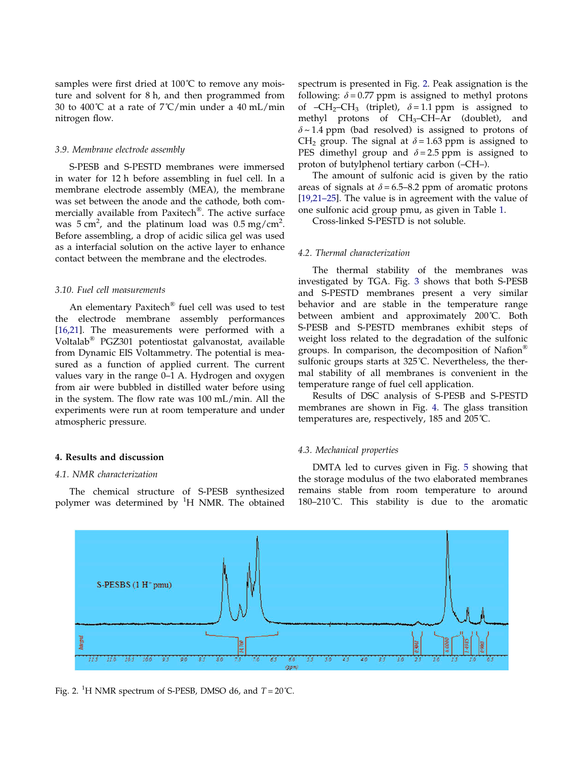samples were first dried at  $100^{\circ}$ C to remove any moisture and solvent for 8 h, and then programmed from 30 to 400°C at a rate of  $7^{\circ}$ C/min under a 40 mL/min nitrogen flow.

## 3.9. Membrane electrode assembly

S-PESB and S-PESTD membranes were immersed in water for 12 h before assembling in fuel cell. In a membrane electrode assembly (MEA), the membrane was set between the anode and the cathode, both commercially available from Paxitech®. The active surface was  $5 \text{ cm}^2$ , and the platinum load was  $0.5 \text{ mg/cm}^2$ . Before assembling, a drop of acidic silica gel was used as a interfacial solution on the active layer to enhance contact between the membrane and the electrodes.

#### 3.10. Fuel cell measurements

An elementary Paxitech® fuel cell was used to test the electrode membrane assembly performances [[16,21\]](#page-9-0). The measurements were performed with a Voltalab® PGZ301 potentiostat galvanostat, available from Dynamic EIS Voltammetry. The potential is measured as a function of applied current. The current values vary in the range 0–1 A. Hydrogen and oxygen from air were bubbled in distilled water before using in the system. The flow rate was 100 mL/min. All the experiments were run at room temperature and under atmospheric pressure.

## 4. Results and discussion

#### 4.1. NMR characterization

The chemical structure of S-PESB synthesized polymer was determined by <sup>1</sup>H NMR. The obtained

spectrum is presented in Fig. 2. Peak assignation is the following:  $\delta = 0.77$  ppm is assigned to methyl protons of –CH<sub>2</sub>–CH<sub>3</sub> (triplet),  $\delta$  = 1.1 ppm is assigned to methyl protons of CH<sub>3</sub>-CH-Ar (doublet), and  $\delta$  ~ 1.4 ppm (bad resolved) is assigned to protons of CH<sub>2</sub> group. The signal at  $\delta$  = 1.63 ppm is assigned to PES dimethyl group and  $\delta = 2.5$  ppm is assigned to proton of butylphenol tertiary carbon (–CH–).

The amount of sulfonic acid is given by the ratio areas of signals at  $\delta = 6.5 - 8.2$  ppm of aromatic protons [\[19,21–25](#page-9-0)]. The value is in agreement with the value of one sulfonic acid group pmu, as given in Table [1.](#page-6-0)

Cross-linked S-PESTD is not soluble.

#### 4.2. Thermal characterization

The thermal stability of the membranes was investigated by TGA. Fig. [3](#page-6-0) shows that both S-PESB and S-PESTD membranes present a very similar behavior and are stable in the temperature range between ambient and approximately 200˚C. Both S-PESB and S-PESTD membranes exhibit steps of weight loss related to the degradation of the sulfonic groups. In comparison, the decomposition of Nafion® sulfonic groups starts at 325°C. Nevertheless, the thermal stability of all membranes is convenient in the temperature range of fuel cell application.

Results of DSC analysis of S-PESB and S-PESTD membranes are shown in Fig. [4.](#page-6-0) The glass transition temperatures are, respectively, 185 and 205˚C.

#### 4.3. Mechanical properties

DMTA led to curves given in Fig. [5](#page-6-0) showing that the storage modulus of the two elaborated membranes remains stable from room temperature to around 180–210˚C. This stability is due to the aromatic



Fig. 2. <sup>1</sup>H NMR spectrum of S-PESB, DMSO d6, and  $T = 20$ °C.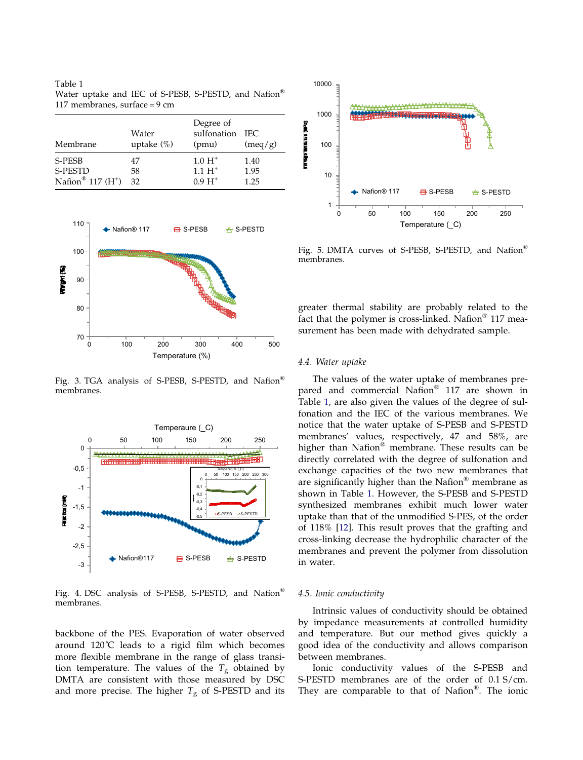<span id="page-6-0"></span>Table 1 Water uptake and IEC of S-PESB, S-PESTD, and Nafion® 117 membranes, surface = 9 cm

| Membrane                        | Water<br>uptake $(\%)$ | Degree of<br>sulfonation IEC<br>(pmu) | (meq/g) |
|---------------------------------|------------------------|---------------------------------------|---------|
| S-PESB                          | 47                     | $1.0 H+$                              | 1.40    |
| <b>S-PESTD</b>                  | 58                     | $1.1 H+$                              | 1.95    |
| Nafion <sup>®</sup> 117 $(H^+)$ | 32                     | $0.9 H+$                              | 1.25    |



Fig. 3. TGA analysis of S-PESB, S-PESTD, and Nafion® membranes.



Fig. 4. DSC analysis of S-PESB, S-PESTD, and Nafion® membranes.

backbone of the PES. Evaporation of water observed around 120˚C leads to a rigid film which becomes more flexible membrane in the range of glass transition temperature. The values of the  $T_g$  obtained by DMTA are consistent with those measured by DSC and more precise. The higher  $T_{\rm g}$  of S-PESTD and its



Fig. 5. DMTA curves of S-PESB, S-PESTD, and Nafion® membranes.

greater thermal stability are probably related to the fact that the polymer is cross-linked. Nafion® 117 measurement has been made with dehydrated sample.

#### 4.4. Water uptake

The values of the water uptake of membranes prepared and commercial Nafion® 117 are shown in Table 1, are also given the values of the degree of sulfonation and the IEC of the various membranes. We notice that the water uptake of S-PESB and S-PESTD membranes' values, respectively, 47 and 58%, are higher than Nafion® membrane. These results can be directly correlated with the degree of sulfonation and exchange capacities of the two new membranes that are significantly higher than the Nafion® membrane as shown in Table 1. However, the S-PESB and S-PESTD synthesized membranes exhibit much lower water uptake than that of the unmodified S-PES, of the order of 118% [[12](#page-8-0)]. This result proves that the grafting and cross-linking decrease the hydrophilic character of the membranes and prevent the polymer from dissolution in water.

#### 4.5. Ionic conductivity

Intrinsic values of conductivity should be obtained by impedance measurements at controlled humidity and temperature. But our method gives quickly a good idea of the conductivity and allows comparison between membranes.

Ionic conductivity values of the S-PESB and S-PESTD membranes are of the order of 0.1 S/cm. They are comparable to that of Nafion®. The ionic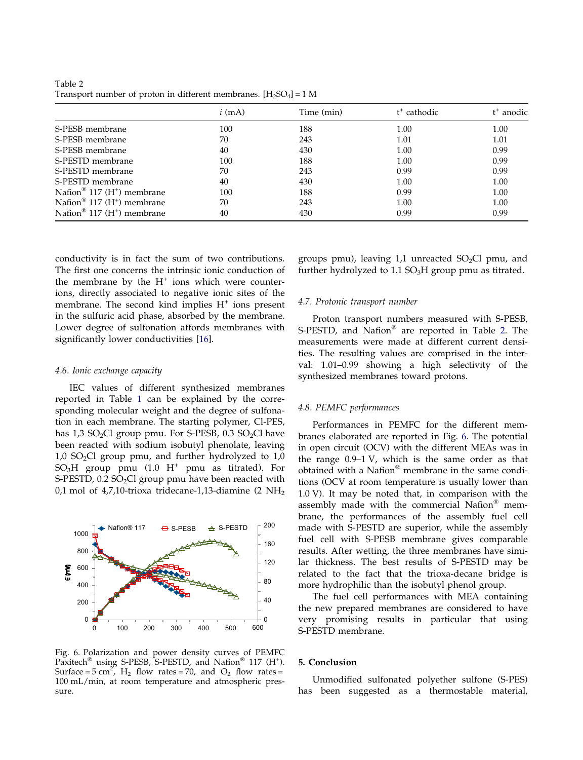|                                            | $i \text{ (mA)}$ | Time (min) | t <sup>+</sup> cathodic | t <sup>+</sup> anodic |
|--------------------------------------------|------------------|------------|-------------------------|-----------------------|
| S-PESB membrane                            | 100              | 188        | 1.00                    | 1.00                  |
| S-PESB membrane                            | 70               | 243        | 1.01                    | 1.01                  |
| S-PESB membrane                            | 40               | 430        | 1.00                    | 0.99                  |
| S-PESTD membrane                           | 100              | 188        | 1.00                    | 0.99                  |
| S-PESTD membrane                           | 70               | 243        | 0.99                    | 0.99                  |
| S-PESTD membrane                           | 40               | 430        | 1.00                    | 1.00                  |
| Nafion <sup>®</sup> 117 ( $H^+$ ) membrane | 100              | 188        | 0.99                    | 1.00                  |
| Nafion <sup>®</sup> 117 ( $H^+$ ) membrane | 70               | 243        | 1.00                    | 1.00                  |
| Nafion <sup>®</sup> 117 ( $H^+$ ) membrane | 40               | 430        | 0.99                    | 0.99                  |

Table 2 Transport number of proton in different membranes.  $[H_2SO_4]=1$  M

conductivity is in fact the sum of two contributions. The first one concerns the intrinsic ionic conduction of the membrane by the  $H^+$  ions which were counterions, directly associated to negative ionic sites of the membrane. The second kind implies  $H^+$  ions present in the sulfuric acid phase, absorbed by the membrane. Lower degree of sulfonation affords membranes with significantly lower conductivities [\[16\]](#page-9-0).

#### 4.6. Ionic exchange capacity

IEC values of different synthesized membranes reported in Table [1](#page-6-0) can be explained by the corresponding molecular weight and the degree of sulfonation in each membrane. The starting polymer, Cl-PES, has  $1,3$  SO<sub>2</sub>Cl group pmu. For S-PESB, 0.3 SO<sub>2</sub>Cl have been reacted with sodium isobutyl phenolate, leaving  $1,0$  SO<sub>2</sub>Cl group pmu, and further hydrolyzed to  $1,0$  $SO<sub>3</sub>H$  group pmu (1.0 H<sup>+</sup> pmu as titrated). For S-PESTD,  $0.2$  SO<sub>2</sub>Cl group pmu have been reacted with 0,1 mol of 4,7,10-trioxa tridecane-1,13-diamine (2  $NH<sub>2</sub>$ )



Fig. 6. Polarization and power density curves of PEMFC Paxitech<sup>®</sup> using S-PESB, S-PESTD, and Nafion<sup>®</sup> 117 (H<sup>+</sup>). Surface =  $5 \text{ cm}^2$ ,  $H_2$  flow rates =  $70$ , and  $O_2$  flow rates = 100 mL/min, at room temperature and atmospheric pressure.

groups pmu), leaving  $1,1$  unreacted SO<sub>2</sub>Cl pmu, and further hydrolyzed to  $1.1$  SO<sub>3</sub>H group pmu as titrated.

#### 4.7. Protonic transport number

Proton transport numbers measured with S-PESB, S-PESTD, and Nafion® are reported in Table 2. The measurements were made at different current densities. The resulting values are comprised in the interval: 1.01–0.99 showing a high selectivity of the synthesized membranes toward protons.

#### 4.8. PEMFC performances

Performances in PEMFC for the different membranes elaborated are reported in Fig. 6. The potential in open circuit (OCV) with the different MEAs was in the range 0.9–1 V, which is the same order as that obtained with a Nafion® membrane in the same conditions (OCV at room temperature is usually lower than 1.0 V). It may be noted that, in comparison with the assembly made with the commercial Nafion® membrane, the performances of the assembly fuel cell made with S-PESTD are superior, while the assembly fuel cell with S-PESB membrane gives comparable results. After wetting, the three membranes have similar thickness. The best results of S-PESTD may be related to the fact that the trioxa-decane bridge is more hydrophilic than the isobutyl phenol group.

The fuel cell performances with MEA containing the new prepared membranes are considered to have very promising results in particular that using S-PESTD membrane.

## 5. Conclusion

Unmodified sulfonated polyether sulfone (S-PES) has been suggested as a thermostable material,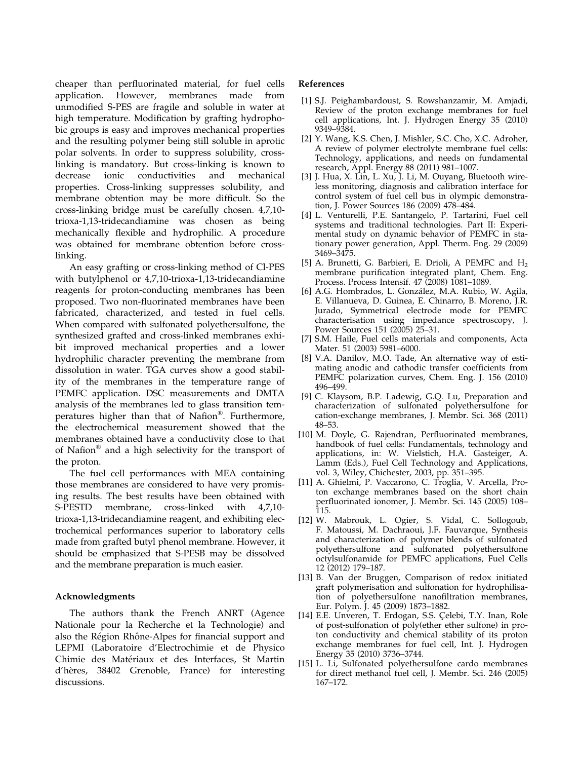<span id="page-8-0"></span>cheaper than perfluorinated material, for fuel cells application. However, membranes made from unmodified S-PES are fragile and soluble in water at high temperature. Modification by grafting hydrophobic groups is easy and improves mechanical properties and the resulting polymer being still soluble in aprotic polar solvents. In order to suppress solubility, crosslinking is mandatory. But cross-linking is known to decrease ionic conductivities and mechanical properties. Cross-linking suppresses solubility, and membrane obtention may be more difficult. So the cross-linking bridge must be carefully chosen. 4,7,10 trioxa-1,13-tridecandiamine was chosen as being mechanically flexible and hydrophilic. A procedure was obtained for membrane obtention before crosslinking.

An easy grafting or cross-linking method of Cl-PES with butylphenol or 4,7,10-trioxa-1,13-tridecandiamine reagents for proton-conducting membranes has been proposed. Two non-fluorinated membranes have been fabricated, characterized, and tested in fuel cells. When compared with sulfonated polyethersulfone, the synthesized grafted and cross-linked membranes exhibit improved mechanical properties and a lower hydrophilic character preventing the membrane from dissolution in water. TGA curves show a good stability of the membranes in the temperature range of PEMFC application. DSC measurements and DMTA analysis of the membranes led to glass transition temperatures higher than that of Nafion®. Furthermore, the electrochemical measurement showed that the membranes obtained have a conductivity close to that of Nafion® and a high selectivity for the transport of the proton.

The fuel cell performances with MEA containing those membranes are considered to have very promising results. The best results have been obtained with S-PESTD membrane, cross-linked with 4,7,10 trioxa-1,13-tridecandiamine reagent, and exhibiting electrochemical performances superior to laboratory cells made from grafted butyl phenol membrane. However, it should be emphasized that S-PESB may be dissolved and the membrane preparation is much easier.

## Acknowledgments

The authors thank the French ANRT (Agence Nationale pour la Recherche et la Technologie) and also the Région Rhône-Alpes for financial support and LEPMI (Laboratoire d'Electrochimie et de Physico Chimie des Matériaux et des Interfaces, St Martin d'hères, 38402 Grenoble, France) for interesting discussions.

## References

- [1] S.J. Peighambardoust, S. Rowshanzamir, M. Amjadi, Review of the proton exchange membranes for fuel cell applications, Int. J. Hydrogen Energy 35 (2010) 9349–9384.
- [2] Y. Wang, K.S. Chen, J. Mishler, S.C. Cho, X.C. Adroher, A review of polymer electrolyte membrane fuel cells: Technology, applications, and needs on fundamental research, Appl. Energy 88 (2011) 981–1007.
- [3] J. Hua, X. Lin, L. Xu, J. Li, M. Ouyang, Bluetooth wireless monitoring, diagnosis and calibration interface for control system of fuel cell bus in olympic demonstration, J. Power Sources 186 (2009) 478–484.
- [4] L. Venturelli, P.E. Santangelo, P. Tartarini, Fuel cell systems and traditional technologies. Part II: Experimental study on dynamic behavior of PEMFC in stationary power generation, Appl. Therm. Eng. 29 (2009) 3469–3475.
- [5] A. Brunetti, G. Barbieri, E. Drioli, A PEMFC and  $H_2$ membrane purification integrated plant, Chem. Eng. Process. Process Intensif. 47 (2008) 1081-1089.
- [6] A.G. Hombrados, L. González, M.A. Rubio, W. Agila, E. Villanueva, D. Guinea, E. Chinarro, B. Moreno, J.R. Jurado, Symmetrical electrode mode for PEMFC characterisation using impedance spectroscopy, J. Power Sources 151 (2005) 25–31.
- [7] S.M. Haile, Fuel cells materials and components, Acta Mater. 51 (2003) 5981–6000.
- [8] V.A. Danilov, M.O. Tade, An alternative way of estimating anodic and cathodic transfer coefficients from PEMFC polarization curves, Chem. Eng. J. 156 (2010) 496–499.
- [9] C. Klaysom, B.P. Ladewig, G.Q. Lu, Preparation and characterization of sulfonated polyethersulfone for cation-exchange membranes, J. Membr. Sci. 368 (2011) 48–53.
- [10] M. Doyle, G. Rajendran, Perfluorinated membranes, handbook of fuel cells: Fundamentals, technology and applications, in: W. Vielstich, H.A. Gasteiger, A. Lamm (Eds.), Fuel Cell Technology and Applications, vol. 3, Wiley, Chichester, 2003, pp. 351–395.
- [11] A. Ghielmi, P. Vaccarono, C. Troglia, V. Arcella, Proton exchange membranes based on the short chain perfluorinated ionomer, J. Membr. Sci. 145 (2005) 108– 115.
- [12] W. Mabrouk, L. Ogier, S. Vidal, C. Sollogoub, F. Matoussi, M. Dachraoui, J.F. Fauvarque, Synthesis and characterization of polymer blends of sulfonated polyethersulfone and sulfonated polyethersulfone octylsulfonamide for PEMFC applications, Fuel Cells 12 (2012) 179–187.
- [13] B. Van der Bruggen, Comparison of redox initiated graft polymerisation and sulfonation for hydrophilisation of polyethersulfone nanofiltration membranes, Eur. Polym. J. 45 (2009) 1873–1882.
- [14] E.E. Unveren, T. Erdogan, S.S. Çelebi, T.Y. Inan, Role of post-sulfonation of poly(ether ether sulfone) in proton conductivity and chemical stability of its proton exchange membranes for fuel cell, Int. J. Hydrogen Energy 35 (2010) 3736–3744.
- [15] L. Li, Sulfonated polyethersulfone cardo membranes for direct methanol fuel cell, J. Membr. Sci. 246 (2005) 167–172.